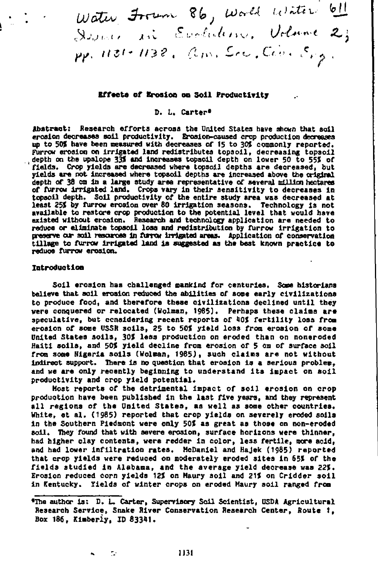Water From 86, World Writer 61 *A tN.* \$ , *<sup>f</sup> I* pp. 1131-1138, am. Src. Cov. Sig.

# **affects of Erosion on Soil Productivity**

# D. L. Carter#

Abstract: Research efforts across the United States have shown that soil erosion decreases soil productivity. Erosion-caused crop production decreases up to 50% have been measured with decreases of 15 to 30% commonly reported. Furrow erosion on irrigated land redistributes topsoil, decreasing topsoil depth on the upslope 33% and increases topsoil depth on lower 50 to 55% of fields. Crop yields are decreased where topsoil depths are decreased, but yields are not increased where topsoil depths are increased above the **crignel** depth of 38 cm in a large study area representative of several million hectares of fUrrow irrigated land. Crops **vary in** their sensitivity to decreases in topsoil depth. *Soil* productivity *of the entire* study area was decreased at **least** 25% by Turns erosion aver 80 irrigation seasons. Technology is not available to restore crop production to the potential **level that would have** existed without erosion. Research and technology application are needed to reduce or eliminate topsoil loss and redistribution by fUrrow irrigation to preserve our soil resorces in furrow irrigated areas. Application of conservation tillage to furrow irrigated land is suggested as the best known practice to reduce *furrow* erosion.

## **Introduction**

Soil erosion has challenged mankind *for* centuries. *Some* historians **believe** that soil erosion reduced the abilities of some early civilizations to produce food, **and therefore these civilizations declined until they were conquered or relocated (Holman, 1985). Perhaps these claims are speculative, but considering recent reports of 40% fertility loss** from **erosion of some USSR soils, 25 to 50% yield loss** from **erosion of some United States soils, 3D% less** production on eroded than on noneroded Haiti soils, and 50% yield decline from erosion of 5 cm of surface soil from some Nigeria soils (Holman, 1985), such claims are not without indirect support. There is no question that erosion is a serious problem, and we are only recently beginning to understand its impact on soil productivity and crop yield potential.

Host reports of the detrimental impact of soil erosion on crop production have been published in the last five years, and they represent all regions of the United States, as well as some other countries. White, et **al.** (1985) reported that crop yields on severely eroded soils in the Southern Piedmont were only 50% as great as those on non-eroded They found that with severe erosion, surface horizons were thinner, had higher clay contents, were redder in color, **less fertile, more acid, and had lower infiltration rates. McDaniel and Hajek (1g85) reported that crop yields were reduced on** moderately eroded sites in 65% of the fields studied **in** Alabama, and the average yield decrease was 22%. Erosion reduced corn yields 12% on Maury soil and 21% on Cridder soil in Kentucky. Yields of winter crops on eroded Maury soil ranged from

Me **author is: D.** L. Carter, Supervisory Soil Scientist, USDA **Agricultural Research Service, Snake River Conservation Research Center, Route t, Box 186, Kimberly, ID 83341.**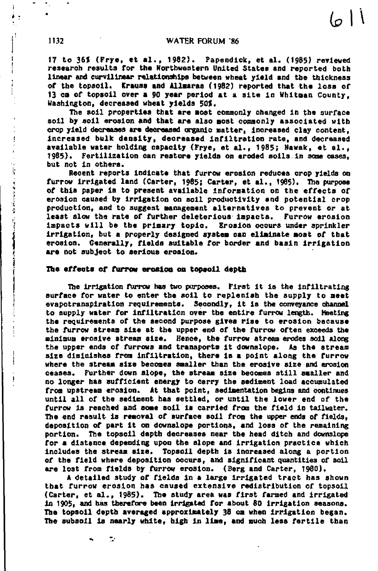$611$ 

17 to 36% (Frye, et al., 1982). Papendick, et al. (1985) reviewed research results for the Northwestern United Statee and reported both linear and curvilinear relationships between wheat yield and the thickness of the topsoil. Krauss and Allaaras (1982) reported that the loss of 13 cm of topsoil over a 90 year period at a site in Whitman County, Washington, decreased wheat yields 50%.

The soil properties that are most commonly changed in the surface *soil* by soil erosion and that are also most commonly associated with crop yield decreases are decreased organic matter, increased clay content, increased bulk density, decreased infiltration rate, and decreased available water holding capacity (Frye, et al., 1985; Nawak, et al., 1985). Fertilization can restore yields on eroded soils in some cases, but not in others.

Recent reports indicate that furrow erosion reduces crop yields on furrow irrigated land (Carter, 1985; Carter, et al., 1985). The purpose of this paper is to present available information on the effects of erosion caused by irrigation on soil productivity end potential crop production, and to suggest management alternatives to prevent or at least slow the rate of further deleterious impacts. Furrow erosion impacts will be the primary topic. Erosion occurs under sprinkler irrigation, but a properly designed system can eliminate most of that erosion. Generally, fields suitable *for* border and basin irrigation are not subject to serious erosion.

### The effects or furrow erosion on topsoil depth

÷,

The irrigation furrow has two purposes. First it is the infiltrating surface for water to enter the soil to replenish the supply to meet evapotranspiration requirements. Secondly, it is the conveyance channel to supply water for infiltration over the entire furrow length. Meeting the requirements of the second purpose gives rise to erosion because the furrow stream size at the upper end of the furrow often exceeds the minimum erosive stream size. Hence, the furrow stream erodes soil along<br>the upper ends of furrows and transports it downslope. As the stream the upper ends of furrows and transports it downslope. size diminishes from infiltration, there is a point along the furrow where the atream size becomes smaller than the erosive size and erosion ceases. Further down slope, the stream size becomes still smaller and no longer has sufficient energy to carry the sediment load accumulated from upstream erosion. At that point, sedimentation begins and continues until all of the sediment has settled, or until the lower end of the furrow is reached and some soil is carried from the field in tailwater. The end result is removal of surface soil from the upper ends of fields, deposition of part it on downalope portions, and lose of the remaining portion. The topsoil depth decreases near the head ditch and downslope for a distance depending upon the slope and irrigation practice which includes the stream size. Topsoil depth is increased along a portion of the field where deposition occurs, and significant quantities of *3013.* are lost from fields by furrow erosion. (Berg and Carter, 1980).

A detailed study of fields in a large irrigated tract has shown that furrow erosion has caused extensive redistribution of topsoil (Carter, et al., 1985). The study area was first farmed and irrigated in 1905, and has therefore been irrigated for about 80 irrigation seasons. The topsoil depth averaged approximately 38 ea when irrigation began. The subsoil is nearly white, high in lime, and much less fertile than

ţ.

 $\label{eq:2.1} \begin{array}{ll} \mathbf{u} & \mathbf{u} & \mathbf{u} & \mathbf{u} \\ \mathbf{u} & \mathbf{u} & \mathbf{u} & \mathbf{u} \\ \mathbf{u} & \mathbf{u} & \mathbf{u} & \mathbf{u} \\ \mathbf{u} & \mathbf{u} & \mathbf{u} & \mathbf{u} \\ \mathbf{u} & \mathbf{u} & \mathbf{u} & \mathbf{u} \\ \mathbf{u} & \mathbf{u} & \mathbf{u} & \mathbf{u} \\ \mathbf{u} & \mathbf{u} & \mathbf{u} & \mathbf{u} \\ \mathbf{u} & \$ 

ł j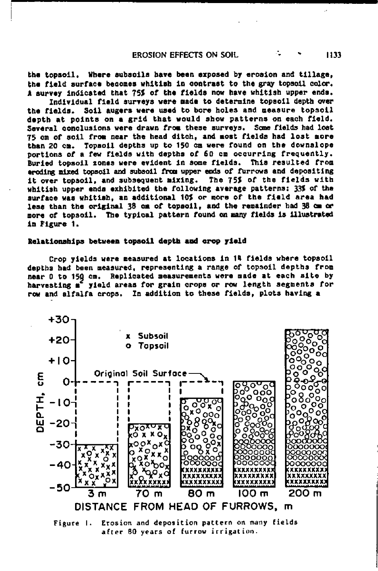# EROSION EFFECTS ON SOIL **1133**

the topsoil. Where subsoils have been exposed by erosion and tillage, the field surface becomes whitish in contrast to the gray topsoil color. A survey indicated that 75% of the fields now have whitish upper ends.

Individual field surveys were made to determine topsoil depth over the fields. Soil augers were used to bore holes and measure topsoil depth at points on a grid that would show patterns on each field. Several conclusions were drawn from these surveys. Some fields had lost 75 cm of soil from near the head ditch, and most fields had lost more than 20 cm. Topsoil depths up to 150 cm were round on the downalope portions of a few fields with depths of 60 cm occurring frequently. Buried topsoil zones were evident in some fields. This resulted from eroding mixed topsoil and subsoil from upper ends of furrows and depositing<br>it over topsoil, and subsequent mixing. The 75% of the fields with it over topsoil, and subsequent mixing. whitish upper ends exhibited the following average patterns: 33% of the surface was whitish, an additional 10S or more *of the* field area had less than the original 38 em of topsoil, and the remainder had 38 cm or more of topsoil. The typical pattern found on many fields is illustrated An Figure 1.

# Relationships between topsoil depth and crop yield

Crop yields were measured at locations in 14 fields where topsoil depths bad been measured, representing a range of topsoil depths from near 0 to 152 cm. Replicated measurements were made at each site by harvesting m<sup>e</sup> yield areas for grain crops or row length segments for row and alfalfa crops. In addition to these fields, plots having a



after 80 years of furrow irrigation.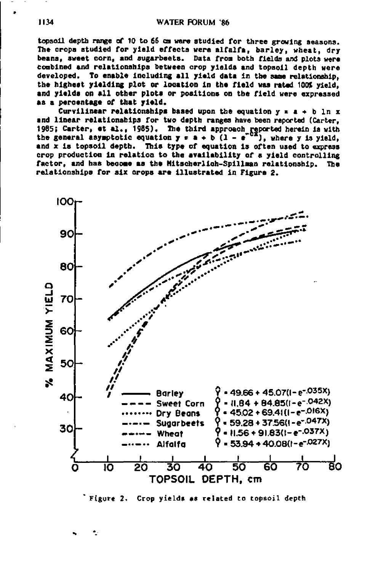topsoil depth range of 10 to 66 cm were studied for three growing seasons. The crops studied for yield effects were alfalfa, barley, wheat, dry beans, sweet corn, and sugarbeets. Data from both fields and plots were combined and relationships between crop yields and topsoil depth were developed. To enable including all yield data in the same relationship, the highest yielding plot or location in the field was rated 100% yield, and yields on all other plots or positions on the field were expressed as a percentage of that yield.

Curvilinear relationships based upon the equation  $y = a + b$  ln x and linear relationships for two depth ranges have been reported (Carter, 1985; Carter, et al., 1985). The third approach reported herein is with the general asymptotic equation  $y = a + b$   $(1 - e^{-bx})$ , where y is yield, and x is topsoil depth. This type of equation is often used to express crop production in relation to the availability of a yield controlling factor, and has booms as the **Mitscherlich-Spillman** relationship. The relationships for six crops are illustrated in Figure 2.



Figure 2. Crop yields as related to topsoil depth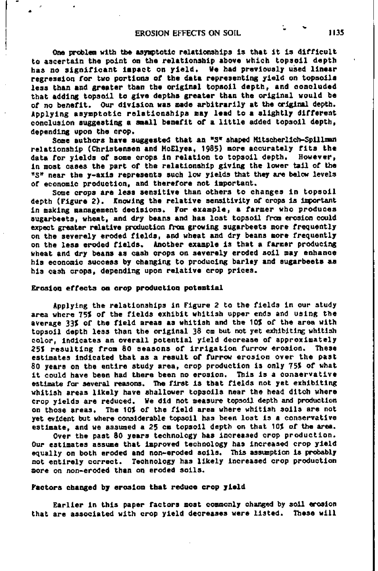One problem with *the* asymptotic relationships is that it is difficult to ascertain the point on the relationship above which topsoil depth has no significant impact on yield. Ve had previously used **linear** regression *for* two portions of the data representing yield on topsoils less than and greater than the original topsoil depth, and concluded that adding topsoil to give depths greater than the original would be of no benefit. Our division was made arbitrarily at the original depth. Applying asymptotic relationships may lead to a slightly different conclusion suggesting a **small** benefit of a little added topsoil depth, depending upon the crop.

Some authors have suggested that an "S" shaped Hitscherlich-Spillren relationship (Christensen and McElyes, 1985) more accurately fits the data for yields of some crops **in** relation to topsoil depth. However, in most oases the part of the relationship giving the lower tail of the "S" near the y**-axis** represents such low yields that they are below levels of economic production, and therefore not important.

Some crops are leas sensitive than others to changes **in** topsoil depth (Figure 2). Knowing the relative sensitivity of crops is important in making management decisions. For example, a farmer who produces augarbeeta, wheat, and dry beans and has lost topsoil from erosion could expect greater relative production from growing sugarbeets more frequently on the severely eroded fields, and wheat and dry beans more frequently on the less eroded fields. Another example is that a farmer producing wheat and dry beans as cash crops on severely eroded soil may enhance his economic success by changing to producing barley and sugarbeets as his cash crops, depending upon relative crop prices.

#### Erosion effects **on crop production potential**

Applying the relationships in Figure 2 to the fields in our study area where 75% of the fields exhibit whitish upper ends and using the average 33% of the field areas as whitish and the 10\$ of the area with topsoil depth less than the original 38 cm but not yet exhibiting whitish color, indicates an overall potential yield decrease of approximately 25% resulting from 80 seasons of irrigation furrow erosion. 'these estimates indicated that as a result of furrow erosion over the past 80 years on the entire study area, crop production is only 75% of what it could have been had there been no erosion. This is a conservative estimate *for* several reasons. The first is that fields not yet exhibiting whitish areas likely have shallower topsoils near the head ditch where crop yields are reduced. *We* did not measure topsoil depth and production on those areas. The 10% of the field area where whitish soils are not yet evident but where considerable topsoil has been lost is a conservative estimate, and we assumed a 25 cm topsoil depth on that 10% of the area.

Over the past 80 years technology has increased crop production. Our estimates assume that improved technology has increased crop yield equally on both eroded and non-eroded soils. This assumption is probably not entirely correct. Technology has likely increased crop production more on non-eroded than on eroded soils.

#### Factors changed by erosion that reduce crop yield

Earlier in this paper factors most commonly changed by soil erosion<br>are associated with crop yield decreases were listed. These will that are associated with crop yield decreases were listed.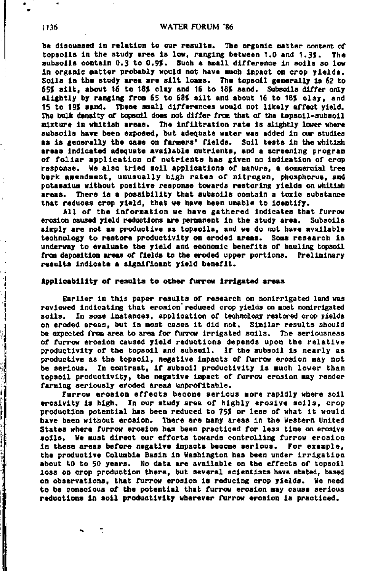be discussed in relation to our results. The organic matter content of topsoils in the study area is low, ranging between 1.0 and 1.3%. The subsoils contain 0.3 to 0.9%. Such a small difference in soils so low in organic matter probably would not have much impact on crop yields. Soils in the study area are silt loams. The topsoil generally is 62 to 65% silt, about 16 to 18% clay and 16 to 18% sand. Subsoils differ only slightly by ranging from 65 to 68% silt and about 16 to 18% clay, and 15 to 19% sand. These small differences would not likely affect yield. The bulk density of topsoil does not differ from that of the topsoil-subsoil mixture in whitish areas. The infiltration rate is slightly lower where subsoils have been exposed, but adequate water was added in our studies as is generally the case on farmers' fields. Soil testa in the whitish areas indicated adequate available nutrients, and a screening program of foliar application of nutrients has given no indication of crop response. We also tried soil applications of manure, a commercial tree bark amendment, unusually high rates of nitrogen, phosphorus, and potassium without positive response towards restoring yields on whitish areas. There is a possibility that subsoils contain a toxic substance that reduces crop yield, that we have been unable to identify.

All of the information we have gathered indicates that furrow erosion caused yield reductions are permanent in the study area. Subsoils simply are not as productive as topsoils, and we do not have available technology to restore productivity on eroded areas. Some research is underway to evaluate the yield and economic benefits of hauling topsoil from deposition areas of fields to the eroded upper portions. Preliminary results indicate a significant yield benefit.

### Applicability of results to other furrow irrigated areas

Earlier in this paper results of research on nonirrigated land was reviewed indicating that erosion reduced crop yields on most nonirrigated soils. In some instances, application of technology restored crop yields on eroded areas, but in most cases it did not. Similar results should be expected from area to area for furrow irrigated soils. The seriousness of furrow erosion caused yield reductions depends upon the relative productivity of the topsoil and subsoil. If the subsoil is nearly as productive as the topsoil, negative impacts of furrow erosion may not be serious. In contrast, if subsoil productivity is much lower than topsoil productivity, the negative impact of furrow erosion may render farming seriously eroded areas unprofitable.

Furrow erosion effects become serious more rapidly where soil erosivity is high. In our study area of highly erosive soils, crop production potential has been reduced to 75% or less of what it would have been without erosion. There are many areas in the Western United States where furrow erosion bas been practiced for less time on erosive soils. We must direct our efforts towards controlling furrow erosion in these areas before negative impacts become serious. For example, the productive Columbia Basin in Washington has been under irrigation about 40 to 50 years. No data are available on the effects of topsoil loss on crop production there, but several scientists have stated, based on observations, that furrow erosion is reducing crop yields. We need to be conscious of the potential that furrow erosion may cause serious reduotions in soil productivity wherever furrow erosion is practiced.

e

أستعملت والمنافذ

The state of the state of the state of the state of the state of the state of the state of the state of the state of the state of the state of the state of the state of the state of the state of the state of the state of t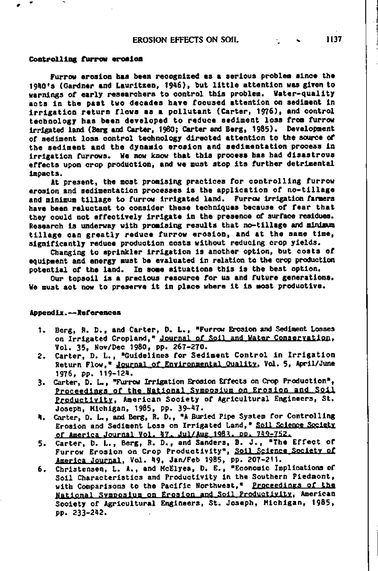### **Controlling furrow erosion**

Furrow erosion has been recognized as a serious problem since the 1940's (Gardner and Lauritzen, /946), but little attention was given to warnings of early researchers to control this problem. Water-quality acts in the past two decades have focused attention on sediment in irrigation return flows as a pollutant (Carter, 1976), and control technology has been developed to reduce sediment loss from furrow irrigated land (Berg and Carter, 1980; Carter and Berg, 1985). Development of sediment loss control technology directed attention to the source of the sediment and the dynamic erosion and sedimentation process *in* irrigation furrows. We now know that this process has had disaatroua effects upon crop production, and we must atop its further detrimental impacts.

At present, the moat promising practices for controlling furrow erosion and sedimentation processes is the application of no-tillage and minimum tillage to furrow irrigated land. Furrow irrigation farmers have been reluctant to consider these techniques because of fear that they could not effectively irrigate in the presence of surface residues. Research is underway with promising results that no-tillage and minimum tillage can greatly reduce furrow erosion, and at the same time, significantly reduce production costs without reducing crop yields.

Changing to sprinkler irrigation is another option, but costa of equipment and energy must be evaluated in relation to the crop production potential of the land. In some situations this is the beat option.

Our topsoil is a precious resource for us and future generations. We must act now to preserve it in place where it is most productive.

#### Appendix.--References

- 1. Berg, P. D., and Carter, D. L., "Furrow Erosion and Sediment Losses on Irrigated Cropland," Journal of Soil and Water Conservation, Vol. 35, Nov/Dec 1980, pp. 267-270.
- 2. Carter, D. L., "Guidelines for Sediment Control in Irrigation Return Flow," Journal of Environmental Quality, Vol. 5, April/June 1976, pp. 119-124.
- 3. Carter, D. L., "Furrow Irrigation Ercsion Effects on Crop Production". Proceedings of the National Svmposium on Erosion and Soil Productivity, American Society of Agricultural Engineers, St. Joseph, Michigan, 1985, pp. 39-47.
- 4. Carter, D. L., and Berg, R. D., "A Buried Pipe System for Controlling Erosion and Sediment Loss on Irrigated Land," Soil Science Societe of America Journal Vol. 47. .121/Aug 1981. **Do.** 719-752.
- 5. Carter, D. L., Berg, R. D., and Sanders, B. J., The Effect of Furrow Erosion on Crop Productivity", Soil Science Society of *America* Journal, Vol. 49, Jan/Feb 1985, pp. 207-211.
- 6. Christensen, L. A., and McElyea, D. E., "Economic Implications of Soil Characteristics and Productivity in the Southern Piedmont, with Comparisons to the Pacific Northwest," Proceedings of the National Svmposium on Erosion and Soil Productivity, American Society of Agricultural Engineers, St. Joseph, Michigan, 1985, pp. 233-242.